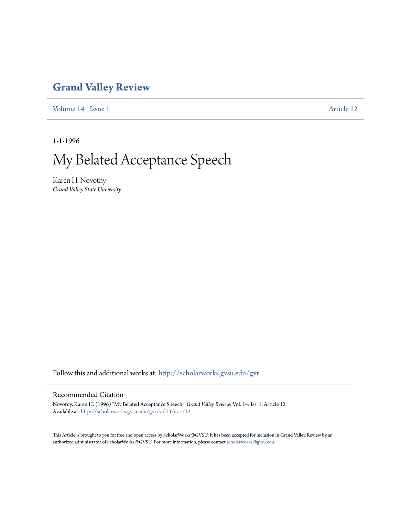## **[Grand Valley Review](http://scholarworks.gvsu.edu/gvr?utm_source=scholarworks.gvsu.edu%2Fgvr%2Fvol14%2Fiss1%2F12&utm_medium=PDF&utm_campaign=PDFCoverPages)**

[Volume 14](http://scholarworks.gvsu.edu/gvr/vol14?utm_source=scholarworks.gvsu.edu%2Fgvr%2Fvol14%2Fiss1%2F12&utm_medium=PDF&utm_campaign=PDFCoverPages) | [Issue 1](http://scholarworks.gvsu.edu/gvr/vol14/iss1?utm_source=scholarworks.gvsu.edu%2Fgvr%2Fvol14%2Fiss1%2F12&utm_medium=PDF&utm_campaign=PDFCoverPages) [Article 12](http://scholarworks.gvsu.edu/gvr/vol14/iss1/12?utm_source=scholarworks.gvsu.edu%2Fgvr%2Fvol14%2Fiss1%2F12&utm_medium=PDF&utm_campaign=PDFCoverPages)

1-1-1996

My Belated Acceptance Speech

Karen H. Novotny *Grand Valley State University*

Follow this and additional works at: [http://scholarworks.gvsu.edu/gvr](http://scholarworks.gvsu.edu/gvr?utm_source=scholarworks.gvsu.edu%2Fgvr%2Fvol14%2Fiss1%2F12&utm_medium=PDF&utm_campaign=PDFCoverPages)

## Recommended Citation

Novotny, Karen H. (1996) "My Belated Acceptance Speech," *Grand Valley Review*: Vol. 14: Iss. 1, Article 12. Available at: [http://scholarworks.gvsu.edu/gvr/vol14/iss1/12](http://scholarworks.gvsu.edu/gvr/vol14/iss1/12?utm_source=scholarworks.gvsu.edu%2Fgvr%2Fvol14%2Fiss1%2F12&utm_medium=PDF&utm_campaign=PDFCoverPages)

This Article is brought to you for free and open access by ScholarWorks@GVSU. It has been accepted for inclusion in Grand Valley Review by an authorized administrator of ScholarWorks@GVSU. For more information, please contact [scholarworks@gvsu.edu.](mailto:scholarworks@gvsu.edu)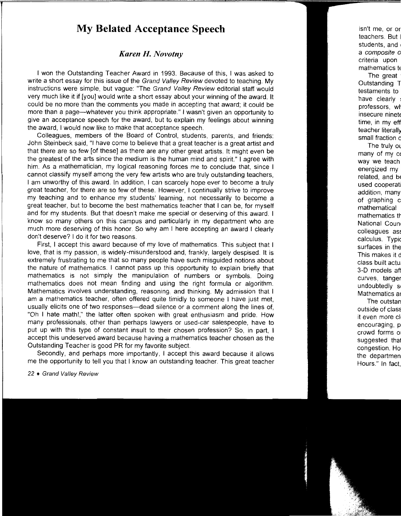## **My Belated Acceptance Speech**

## *Karen H. Novotny*

1 won the Outstanding Teacher Award in 1993. Because of this, I was asked to write a short essay for this issue of the Grand Valley Review devoted to teaching. My instructions were simple, but vague: "The Grand Valley Review editorial staff would very much like it if [you] would write a short essay about your winning of the award. It could be no more than the comments you made in accepting that award; it could be more than a page-whatever you think appropriate." I wasn't given an opportunity to give an acceptance speech for the award, but to explain my feelings about winning the award, I would now like to make that acceptance speech.

Colleagues, members of the Board of Control, students, parents, and friends: John Steinbeck said, "I have come to believe that a great teacher is a great artist and that there are so few [of these] as there are any other great artists. It might even be the greatest of the arts since the medium is the human mind and spirit." I agree with him. As a mathematician, my logical reasoning forces me to conclude that, since I cannot classify myself among the very few artists who are truly outstanding teachers, I am unworthy of this award. In addition, I can scarcely hope ever to become a truly great teacher, for there are so few of these. However, I continually strive to improve my teaching and to enhance my students' learning, not necessarily to become a great teacher, but to become the best mathematics teacher that I can be, for myself and for my students. But that doesn't make me special or deserving of this award. I know so many others on this campus and particularly in my department who are much more deserving of this honor. So why am I here accepting an award I clearly don't deserve? I do it for two reasons.

First, I accept this award because of my love of mathematics. This subject that I love, that is my passion, is widely-misunderstood and, frankly, largely despised. It is extremely frustrating to me that so many people have such misguided notions about the nature of mathematics. I cannot pass up this opportunity to explain briefly that mathematics is not simply the manipulation of numbers or symbols. Doing mathematics does not mean finding and using the right formula or algorithm. Mathematics involves understanding, reasoning, and thinking. My admission that I am a mathematics teacher, often offered quite timidly to someone I have just met, usually elicits one of two responses-dead silence or a comment along the lines of, "Oh I hate math!," the latter often spoken with great enthusiasm and pride. How many professionals, other than perhaps lawyers or used-car salespeople, have to put up with this type of constant insult to their chosen profession? So, in part, I accept this undeserved award because having a mathematics teacher chosen as the Outstanding Teacher is good PR for my favorite subject.

Secondly, and perhaps more importantly, I accept this award because it allows me the opportunity to tell you that I know an outstanding teacher. This great teacher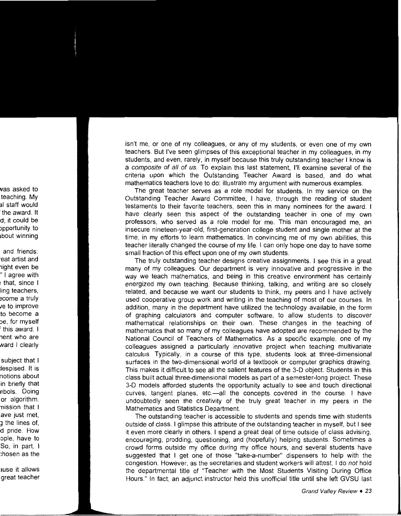isn't me, or one of my colleagues, or any of my students, or even one of my own teachers. But I've seen glimpses of this exceptional teacher in my colleagues, in my students, and even, rarely, in myself because this truly outstanding teacher I know is a composite of all of us. To explain this last statement, I'll examine several of the criteria upon which the Outstanding Teacher Award is based, and do what mathematics teachers love to do: illustrate my argument with numerous examples.

The great teacher serves as a role model for students. In my service on the Outstanding Teacher Award Committee, I have, through the reading of student testaments to their favorite teachers, seen this in many nominees for the award. I have clearly seen this aspect of the outstanding teacher in one of my own professors, who served as a role model for me. This man encouraged me, an insecure nineteen-year-old, first-generation college student and single mother at the time, in my efforts to learn mathematics. In convincing me of my own abilities, this teacher literally changed the course of my life. I can only hope one day to have some small fraction of this effect upon one of my own students.

The truly outstanding teacher designs creative assignments. I see this in a great many of my colleagues. Our department is very innovative and progressive in the way we teach mathematics, and being in this creative environment has certainly energized my own teaching. Because thinking, talking, and writing are so closely related, and because we want our students to think, my peers and I have actively used cooperative group work and writing in the teaching of most of our courses. In addition, many in the department have utilized the technology available, in the form of graphing calculators and computer software, to allow students to discover mathematical relationships on their own. These changes in the teaching of mathematics that so many of my colleagues have adopted are recommended by the National Council of Teachers of Mathematics. As a specific example, one of my colleagues assigned a particularly innovative project when teaching multivariate calculus. Typically, in a course of this type, students look at three-dimensional surfaces in the two-dimensional world of a textbook or computer graphics drawing. This makes it difficult to see all the salient features of the 3-D object. Students in this class built actual three-dimensional models as part of a semester-long project. These 3-D models afforded students the opportunity actually to see and touch directional curves, tangent planes, etc.—all the concepts covered in the course. I have undoubtedly seen the creativity of the truly great teacher in my peers in the Mathematics and Statistics Department.

The outstanding teacher is accessible to students and spends time with students outside of class. I glimpse this attribute of the outstanding teacher in myself, but I see it even more clearly in others. I spend a great deal of time outside of class advising, encouraging, prodding, questioning, and (hopefully) helping students. Sometimes a crowd forms outside my office during my office hours, and several students have suggested that I get one of those "take-a-number" dispensers to help with the congestion. However, as the secretaries and student workers will attest, I do *not* hold the departmental title of "Teacher with the Most Students Visiting During Office Hours." In fact, an adjunct instructor held this unofficial title until she left GVSU last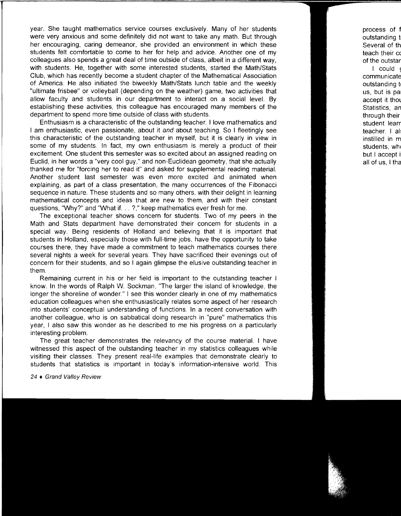year. She taught mathematics service courses exclusively. Many of her students were very anxious and some definitely did not want to take any math. But through her encouraging, caring demeanor, she provided an environment in which these students felt comfortable to come to her for help and advice. Another one of my colleagues also spends a great deal of time outside of class, albeit in a different way, with students. He, together with some interested students, started the Math/Stats Club, which has recently become a student chapter of the Mathematical Association of America. He also initiated the biweekly Math/Stats lunch table and the weekly "ultimate frisbee" or volleyball (depending on the weather) game, two activities that allow faculty and students in our department to interact on a social level. By establishing these activities, this colleague has encouraged many members of the department to spend more time outside of class with students.

Enthusiasm is a characteristic of the outstanding teacher. I love mathematics and I am enthusiastic, even passionate, about it and about teaching. So I fleetingly see this characteristic of the outstanding teacher in myself, but it is clearly in view in some of my students. In fact, my own enthusiasm is merely a product of their excitement. One student this semester was so excited about an assigned reading on Euclid, in her words a "very cool guy," and non-Euclidean geometry, that she actually thanked me for "forcing her to read it" and asked for supplemental reading material. Another student last semester was even more excited and animated when explaining, as part of a class presentation, the many occurrences of the Fibonacci sequence in nature. These students and so many others, with their delight in learning mathematical concepts and ideas that are new to them, and with their constant questions, "Why?" and "What if. . . ?," keep mathematics ever fresh for me.

The exceptional teacher shows concern for students. Two of my peers in the Math and Stats department have demonstrated their concem for students in a special way. Being residents of Holland and believing that it is important that students in Holland, especially those with full-time jobs, have the opportunity to take courses there, they have made a commitment to teach mathematics courses there several nights a week for several years. They have sacrificed their evenings out of concern for their students, and so I again glimpse the elusive outstanding teacher in them.

Remaining current in his or her field is important to the outstanding teacher I know. In the words of Ralph W. Sockman, "The larger the island of knowledge, the longer the shoreline of wonder." I see this wonder clearly in one of my mathematics education colleagues when she enthusiastically relates some aspect of her research into students' conceptual understanding of functions. In a recent conversation with another colleague, who is on sabbatical doing research in "pure" mathematics this year, I also saw this wonder as he described to me his progress on a particularly interesting problem.

The great teacher demonstrates the relevancy of the course material. I have witnessed this aspect of the outstanding teacher in my statistics colleagues while visiting their classes. They present real-life examples that demonstrate clearly to students that statistics is important in today's information-intensive world. This